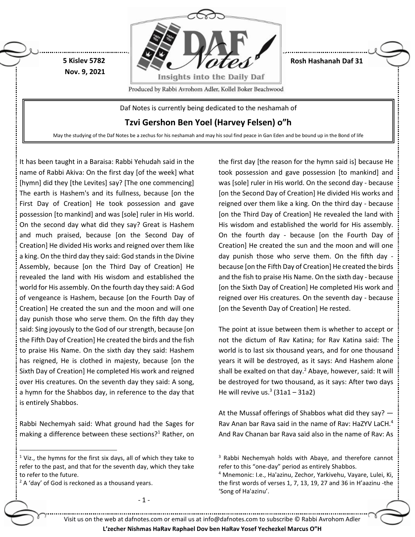

**Rosh Hashanah Daf 31**

Produced by Rabbi Avrohom Adler, Kollel Boker Beachwood

Daf Notes is currently being dedicated to the neshamah of

**Tzvi Gershon Ben Yoel (Harvey Felsen) o"h**

May the studying of the Daf Notes be a zechus for his neshamah and may his soul find peace in Gan Eden and be bound up in the Bond of life

It has been taught in a Baraisa: Rabbi Yehudah said in the name of Rabbi Akiva: On the first day [of the week] what [hymn] did they [the Levites] say? [The one commencing] The earth is Hashem's and its fullness, because [on the First Day of Creation] He took possession and gave possession [to mankind] and was [sole] ruler in His world. On the second day what did they say? Great is Hashem and much praised, because [on the Second Day of Creation] He divided His works and reigned over them like a king. On the third day they said: God stands in the Divine Assembly, because [on the Third Day of Creation] He revealed the land with His wisdom and established the world for His assembly. On the fourth day they said: A God of vengeance is Hashem, because [on the Fourth Day of Creation] He created the sun and the moon and will one day punish those who serve them. On the fifth day they said: Sing joyously to the God of our strength, because [on the Fifth Day of Creation] He created the birds and the fish to praise His Name. On the sixth day they said: Hashem has reigned, He is clothed in majesty, because [on the Sixth Day of Creation] He completed His work and reigned over His creatures. On the seventh day they said: A song, a hymn for the Shabbos day, in reference to the day that is entirely Shabbos.

**5 Kislev 5782 Nov. 9, 2021**

Rabbi Nechemyah said: What ground had the Sages for making a difference between these sections? $1$  Rather, on

- 1 -

 $2A$  'day' of God is reckoned as a thousand years.

 $\overline{a}$ 

the first day [the reason for the hymn said is] because He took possession and gave possession [to mankind] and was [sole] ruler in His world. On the second day - because [on the Second Day of Creation] He divided His works and reigned over them like a king. On the third day - because [on the Third Day of Creation] He revealed the land with His wisdom and established the world for His assembly. On the fourth day - because [on the Fourth Day of Creation] He created the sun and the moon and will one day punish those who serve them. On the fifth day because [on the Fifth Day of Creation] He created the birds and the fish to praise His Name. On the sixth day - because [on the Sixth Day of Creation] He completed His work and reigned over His creatures. On the seventh day - because [on the Seventh Day of Creation] He rested.

The point at issue between them is whether to accept or not the dictum of Rav Katina; for Rav Katina said: The world is to last six thousand years, and for one thousand years it will be destroyed, as it says: And Hashem alone shall be exalted on that day.<sup>2</sup> Abaye, however, said: It will be destroyed for two thousand, as it says: After two days He will revive us. $3(31a1 - 31a2)$ 

At the Mussaf offerings of Shabbos what did they say? — Rav Anan bar Rava said in the name of Rav: HaZYV LaCH. 4 And Rav Chanan bar Rava said also in the name of Rav: As

Visit us on the web at dafnotes.com or email us at [info@dafnotes.com](mailto:info@dafnotes.com) to subscribe © Rabbi Avrohom Adler

**L'zecher Nishmas HaRav Raphael Dov ben HaRav Yosef Yechezkel Marcus O"H**

 $1$  Viz., the hymns for the first six days, all of which they take to refer to the past, and that for the seventh day, which they take to refer to the future.

<sup>&</sup>lt;sup>3</sup> Rabbi Nechemyah holds with Abaye, and therefore cannot refer to this "one-day" period as entirely Shabbos.

<sup>4</sup> Mnemonic: I.e., Ha'azinu, Zechor, Yarkivehu, Vayare, Lulei, Ki, the first words of verses 1, 7, 13, 19, 27 and 36 in H'aazinu -the 'Song of Ha'azinu'.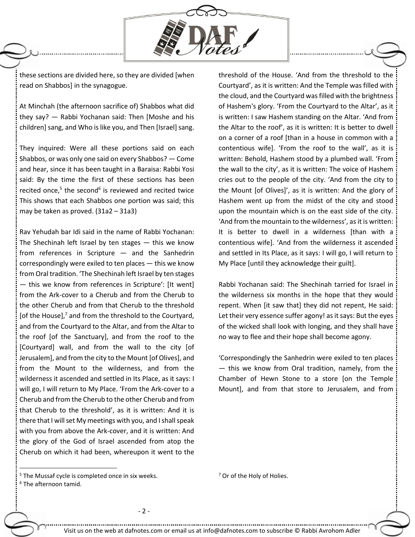

these sections are divided here, so they are divided [when read on Shabbos] in the synagogue.

At Minchah (the afternoon sacrifice of) Shabbos what did they say? — Rabbi Yochanan said: Then [Moshe and his children] sang, and Who is like you, and Then [Israel] sang.

They inquired: Were all these portions said on each Shabbos, or was only one said on every Shabbos? — Come and hear, since it has been taught in a Baraisa: Rabbi Yosi said: By the time the first of these sections has been recited once, $5$  the second $6$  is reviewed and recited twice This shows that each Shabbos one portion was said; this may be taken as proved. (31a2 – 31a3)

Rav Yehudah bar Idi said in the name of Rabbi Yochanan: The Shechinah left Israel by ten stages  $-$  this we know from references in Scripture — and the Sanhedrin correspondingly were exiled to ten places — this we know from Oral tradition. 'The Shechinah left Israel by ten stages — this we know from references in Scripture': [It went] from the Ark-cover to a Cherub and from the Cherub to the other Cherub and from that Cherub to the threshold [of the House], $<sup>7</sup>$  and from the threshold to the Courtyard,</sup> and from the Courtyard to the Altar, and from the Altar to the roof [of the Sanctuary], and from the roof to the [Courtyard] wall, and from the wall to the city [of Jerusalem], and from the city to the Mount [of Olives], and from the Mount to the wilderness, and from the wilderness it ascended and settled in Its Place, as it says: I will go, I will return to My Place. 'From the Ark-cover to a Cherub and from the Cherub to the other Cherub and from that Cherub to the threshold', as it is written: And it is there that I will set My meetings with you, and I shall speak with you from above the Ark-cover, and it is written: And the glory of the God of Israel ascended from atop the Cherub on which it had been, whereupon it went to the threshold of the House. 'And from the threshold to the Courtyard', as it is written: And the Temple was filled with the cloud, and the Courtyard was filled with the brightness of Hashem's glory. 'From the Courtyard to the Altar', as it is written: I saw Hashem standing on the Altar. 'And from the Altar to the roof', as it is written: It is better to dwell on a corner of a roof [than in a house in common with a contentious wife]. 'From the roof to the wall', as it is written: Behold, Hashem stood by a plumbed wall. 'From the wall to the city', as it is written: The voice of Hashem cries out to the people of the city. 'And from the city to the Mount [of Olives]', as it is written: And the glory of Hashem went up from the midst of the city and stood upon the mountain which is on the east side of the city. 'And from the mountain to the wilderness', as it is written: It is better to dwell in a wilderness [than with a contentious wife]. 'And from the wilderness it ascended and settled in Its Place, as it says: I will go, I will return to My Place [until they acknowledge their guilt].

Rabbi Yochanan said: The Shechinah tarried for Israel in the wilderness six months in the hope that they would repent. When [it saw that] they did not repent, He said: Let their very essence suffer agony! as it says: But the eyes of the wicked shall look with longing, and they shall have no way to flee and their hope shall become agony.

'Correspondingly the Sanhedrin were exiled to ten places — this we know from Oral tradition, namely, from the Chamber of Hewn Stone to a store [on the Temple Mount], and from that store to Jerusalem, and from

 $\overline{a}$ 

<sup>&</sup>lt;sup>5</sup> The Mussaf cycle is completed once in six weeks.

 $<sup>7</sup>$  Or of the Holy of Holies.</sup>

<sup>6</sup> The afternoon tamid.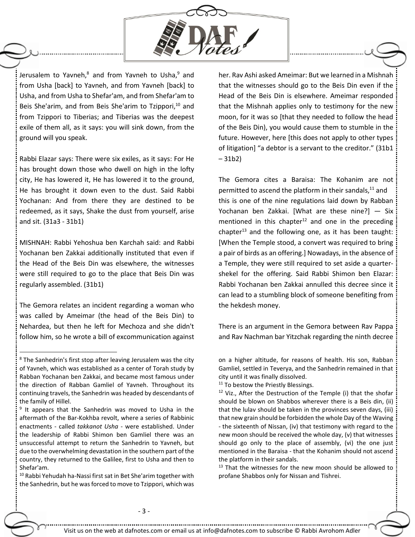

Jerusalem to Yavneh, $8$  and from Yavneh to Usha, $9$  and from Usha [back] to Yavneh, and from Yavneh [back] to Usha, and from Usha to Shefar'am, and from Shefar'am to Beis She'arim, and from Beis She'arim to Tzippori, <sup>10</sup> and from Tzippori to Tiberias; and Tiberias was the deepest exile of them all, as it says: you will sink down, from the ground will you speak.

Rabbi Elazar says: There were six exiles, as it says: For He has brought down those who dwell on high in the lofty city, He has lowered it, He has lowered it to the ground, He has brought it down even to the dust. Said Rabbi Yochanan: And from there they are destined to be redeemed, as it says, Shake the dust from yourself, arise and sit. (31a3 - 31b1)

MISHNAH: Rabbi Yehoshua ben Karchah said: and Rabbi Yochanan ben Zakkai additionally instituted that even if the Head of the Beis Din was elsewhere, the witnesses were still required to go to the place that Beis Din was regularly assembled. (31b1)

The Gemora relates an incident regarding a woman who was called by Ameimar (the head of the Beis Din) to Nehardea, but then he left for Mechoza and she didn't follow him, so he wrote a bill of excommunication against

 $\overline{a}$ 

 $10$  Rabbi Yehudah ha-Nassi first sat in Bet She'arim together with the Sanhedrin, but he was forced to move to Tzippori, which was her. Rav Ashi asked Ameimar: But we learned in a Mishnah that the witnesses should go to the Beis Din even if the Head of the Beis Din is elsewhere. Ameimar responded that the Mishnah applies only to testimony for the new moon, for it was so [that they needed to follow the head of the Beis Din), you would cause them to stumble in the future. However, here [this does not apply to other types of litigation] "a debtor is a servant to the creditor." (31b1 – 31b2)

The Gemora cites a Baraisa: The Kohanim are not permitted to ascend the platform in their sandals, $11$  and this is one of the nine regulations laid down by Rabban Yochanan ben Zakkai. [What are these nine?] — Six mentioned in this chapter<sup>12</sup> and one in the preceding chapter<sup>13</sup> and the following one, as it has been taught: [When the Temple stood, a convert was required to bring a pair of birds as an offering.] Nowadays, in the absence of a Temple, they were still required to set aside a quartershekel for the offering. Said Rabbi Shimon ben Elazar: Rabbi Yochanan ben Zakkai annulled this decree since it can lead to a stumbling block of someone benefiting from the hekdesh money.

There is an argument in the Gemora between Rav Pappa and Rav Nachman bar Yitzchak regarding the ninth decree

<sup>11</sup> To bestow the Priestly Blessings.

<sup>13</sup> That the witnesses for the new moon should be allowed to profane Shabbos only for Nissan and Tishrei.

 $8$  The Sanhedrin's first stop after leaving Jerusalem was the city of Yavneh, which was established as a center of Torah study by Rabban Yochanan ben Zakkai, and became most famous under the direction of Rabban Gamliel of Yavneh. Throughout its continuing travels, the Sanhedrin was headed by descendants of the family of Hillel.

<sup>&</sup>lt;sup>9</sup> It appears that the Sanhedrin was moved to Usha in the aftermath of the Bar-Kokhba revolt, where a series of Rabbinic enactments - called *takkanot Usha* - were established. Under the leadership of Rabbi Shimon ben Gamliel there was an unsuccessful attempt to return the Sanhedrin to Yavneh, but due to the overwhelming devastation in the southern part of the country, they returned to the Galilee, first to Usha and then to Shefar'am.

on a higher altitude, for reasons of health. His son, Rabban Gamliel, settled in Teverya, and the Sanhedrin remained in that city until it was finally dissolved.

<sup>&</sup>lt;sup>12</sup> Viz., After the Destruction of the Temple (i) that the shofar should be blown on Shabbos wherever there is a Beis din, (ii) that the lulav should be taken in the provinces seven days, (iii) that new grain should be forbidden the whole Day of the Waving - the sixteenth of Nissan, (iv) that testimony with regard to the new moon should be received the whole day, (v) that witnesses should go only to the place of assembly, (vi) the one just mentioned in the Baraisa - that the Kohanim should not ascend the platform in their sandals.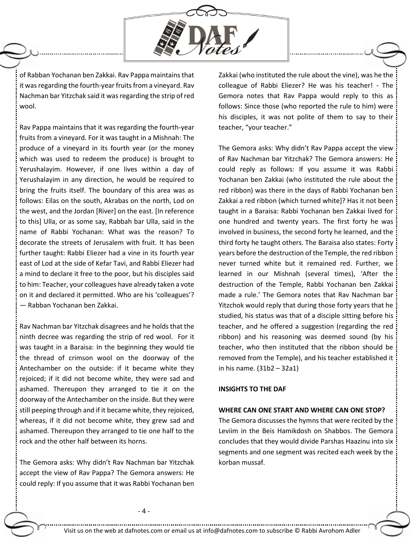

of Rabban Yochanan ben Zakkai. Rav Pappa maintains that it was regarding the fourth-year fruits from a vineyard. Rav Nachman bar Yitzchak said it was regarding the strip of red wool.

Rav Pappa maintains that it was regarding the fourth-year fruits from a vineyard. For it was taught in a Mishnah: The produce of a vineyard in its fourth year (or the money which was used to redeem the produce) is brought to Yerushalayim. However, if one lives within a day of Yerushalayim in any direction, he would be required to bring the fruits itself. The boundary of this area was as follows: Eilas on the south, Akrabas on the north, Lod on the west, and the Jordan [River] on the east. [In reference to this] Ulla, or as some say, Rabbah bar Ulla, said in the name of Rabbi Yochanan: What was the reason? To decorate the streets of Jerusalem with fruit. It has been further taught: Rabbi Eliezer had a vine in its fourth year east of Lod at the side of Kefar Tavi, and Rabbi Eliezer had a mind to declare it free to the poor, but his disciples said to him: Teacher, your colleagues have already taken a vote on it and declared it permitted. Who are his 'colleagues'? — Rabban Yochanan ben Zakkai.

Rav Nachman bar Yitzchak disagrees and he holds that the ninth decree was regarding the strip of red wool. For it was taught in a Baraisa: In the beginning they would tie the thread of crimson wool on the doorway of the Antechamber on the outside: if it became white they rejoiced; if it did not become white, they were sad and ashamed. Thereupon they arranged to tie it on the doorway of the Antechamber on the inside. But they were still peeping through and if it became white, they rejoiced, whereas, if it did not become white, they grew sad and ashamed. Thereupon they arranged to tie one half to the rock and the other half between its horns.

The Gemora asks: Why didn't Rav Nachman bar Yitzchak accept the view of Rav Pappa? The Gemora answers: He could reply: If you assume that it was Rabbi Yochanan ben

Zakkai (who instituted the rule about the vine), was he the colleague of Rabbi Eliezer? He was his teacher! - The Gemora notes that Rav Pappa would reply to this as follows: Since those (who reported the rule to him) were his disciples, it was not polite of them to say to their teacher, "your teacher."

The Gemora asks: Why didn't Rav Pappa accept the view of Rav Nachman bar Yitzchak? The Gemora answers: He could reply as follows: If you assume it was Rabbi Yochanan ben Zakkai (who instituted the rule about the red ribbon) was there in the days of Rabbi Yochanan ben Zakkai a red ribbon (which turned white]? Has it not been taught in a Baraisa: Rabbi Yochanan ben Zakkai lived for one hundred and twenty years. The first forty he was involved in business, the second forty he learned, and the third forty he taught others. The Baraisa also states: Forty years before the destruction of the Temple, the red ribbon never turned white but it remained red. Further, we learned in our Mishnah (several times), 'After the destruction of the Temple, Rabbi Yochanan ben Zakkai made a rule.' The Gemora notes that Rav Nachman bar Yitzchok would reply that during those forty years that he studied, his status was that of a disciple sitting before his teacher, and he offered a suggestion (regarding the red ribbon) and his reasoning was deemed sound (by his teacher, who then instituted that the ribbon should be removed from the Temple), and his teacher established it in his name. (31b2 – 32a1)

## **INSIGHTS TO THE DAF**

## **WHERE CAN ONE START AND WHERE CAN ONE STOP?**

The Gemora discusses the hymns that were recited by the Leviim in the Beis Hamikdosh on Shabbos. The Gemora concludes that they would divide Parshas Haazinu into six segments and one segment was recited each week by the korban mussaf.